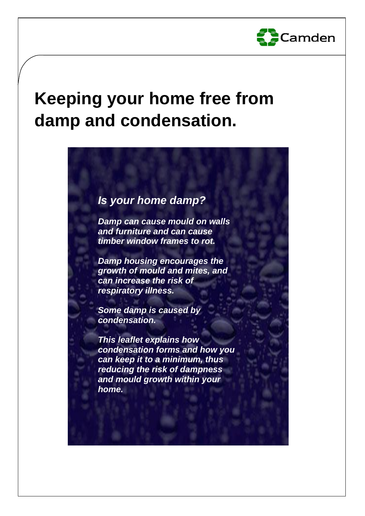

# **Keeping your home free from damp and condensation.**

# *Is your home damp?*

*Damp can cause mould on walls and furniture and can cause timber window frames to rot.*

*Damp housing encourages the growth of mould and mites, and can increase the risk of respiratory illness.*

*Some damp is caused by condensation.*

*This leaflet explains how condensation forms and how you can keep it to a minimum, thus reducing the risk of dampness and mould growth within your home.*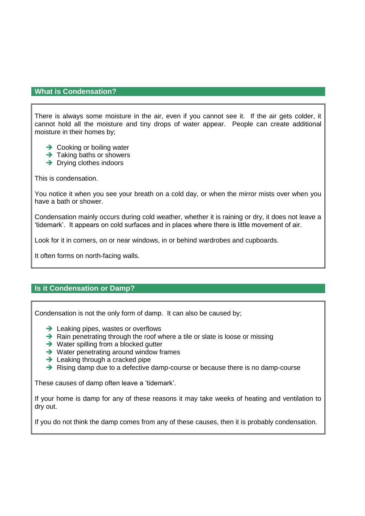# **What is Condensation?**

There is always some moisture in the air, even if you cannot see it. If the air gets colder, it cannot hold all the moisture and tiny drops of water appear. People can create additional moisture in their homes by;

- $\rightarrow$  Cooking or boiling water
- $\rightarrow$  Taking baths or showers
- $\rightarrow$  Drying clothes indoors

This is condensation.

You notice it when you see your breath on a cold day, or when the mirror mists over when you have a bath or shower.

Condensation mainly occurs during cold weather, whether it is raining or dry, it does not leave a 'tidemark'. It appears on cold surfaces and in places where there is little movement of air.

Look for it in corners, on or near windows, in or behind wardrobes and cupboards.

It often forms on north-facing walls.

# **Is it Condensation or Damp?**

Condensation is not the only form of damp. It can also be caused by;

- $\rightarrow$  Leaking pipes, wastes or overflows
- $\rightarrow$  Rain penetrating through the roof where a tile or slate is loose or missing
- $\rightarrow$  Water spilling from a blocked gutter
- $\rightarrow$  Water penetrating around window frames
- $\rightarrow$  Leaking through a cracked pipe
- $\rightarrow$  Rising damp due to a defective damp-course or because there is no damp-course

These causes of damp often leave a 'tidemark'.

If your home is damp for any of these reasons it may take weeks of heating and ventilation to dry out.

If you do not think the damp comes from any of these causes, then it is probably condensation.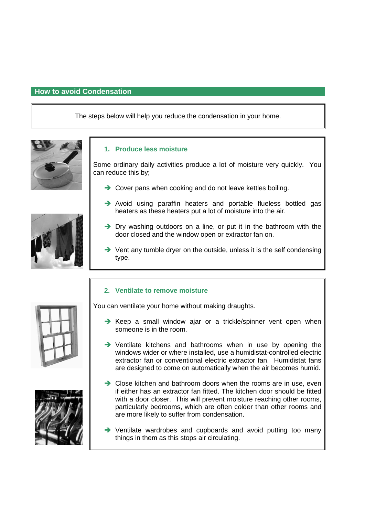# **How to avoid Condensation**

The steps below will help you reduce the condensation in your home.





Some ordinary daily activities produce a lot of moisture very quickly. You can reduce this by;

- $\rightarrow$  Cover pans when cooking and do not leave kettles boiling.
- $\rightarrow$  Avoid using paraffin heaters and portable flueless bottled gas heaters as these heaters put a lot of moisture into the air.
- $\rightarrow$  Dry washing outdoors on a line, or put it in the bathroom with the door closed and the window open or extractor fan on.
- $\rightarrow$  Vent any tumble dryer on the outside, unless it is the self condensing type.

# **2. Ventilate to remove moisture**

You can ventilate your home without making draughts.

- $\rightarrow$  Keep a small window ajar or a trickle/spinner vent open when someone is in the room.
- → Ventilate kitchens and bathrooms when in use by opening the windows wider or where installed, use a humidistat-controlled electric extractor fan or conventional electric extractor fan. Humidistat fans are designed to come on automatically when the air becomes humid.
- $\rightarrow$  Close kitchen and bathroom doors when the rooms are in use, even if either has an extractor fan fitted. The kitchen door should be fitted with a door closer. This will prevent moisture reaching other rooms, particularly bedrooms, which are often colder than other rooms and are more likely to suffer from condensation.
- → Ventilate wardrobes and cupboards and avoid putting too many things in them as this stops air circulating.





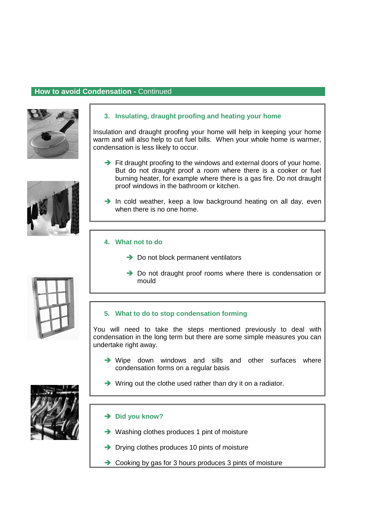# **How to avoid Condensation -** Continued



# **3. Insulating, draught proofing and heating your home**

Insulation and draught proofing your home will help in keeping your home warm and will also help to cut fuel bills. When your whole home is warmer, condensation is less likely to occur.

- $\rightarrow$  Fit draught proofing to the windows and external doors of your home. But do not draught proof a room where there is a cooker or fuel burning heater, for example where there is a gas fire. Do not draught proof windows in the bathroom or kitchen.
- $\rightarrow$  In cold weather, keep a low background heating on all day, even when there is no one home.

# **4. What not to do**

- $\rightarrow$  Do not block permanent ventilators
- $\rightarrow$  Do not draught proof rooms where there is condensation or mould

# **5. What to do to stop condensation forming**

You will need to take the steps mentioned previously to deal with condensation in the long term but there are some simple measures you can undertake right away.

- $\rightarrow$  Wipe down windows and sills and other surfaces where condensation forms on a regular basis
- $\rightarrow$  Wring out the clothe used rather than dry it on a radiator.

# **→ Did you know?**

- **→** Washing clothes produces 1 pint of moisture
- $\rightarrow$  Drying clothes produces 10 pints of moisture
- **→** Cooking by gas for 3 hours produces 3 pints of moisture